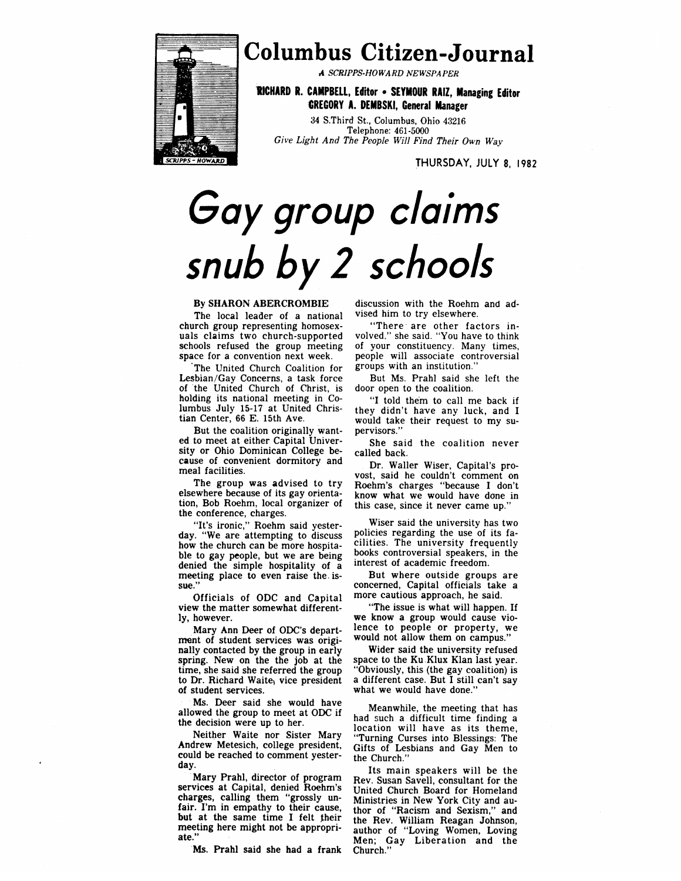

# **Columbus Citizen-Journal**

*A SCRAPS-HOWARD NEWSPAPER*

**RICHARD R. CAMPBELL, Editor -SEYMOUR RAIZ, Managing Editor GREGORY A. DEMBSKI, General Manager**

34 S.Third St., Columbus, Ohio 43216 Telephone: 461-5000 *Give Light And The People Will Find Their Own Way*

THURSDAY, JULY 8, 1982

# Gay group claims snub by 2 schools

## **By SHARON ABERCROMBIE**

The local leader of a national church group representing homosexuals claims two church-supported schools refused the group meeting space for a convention next week.

The United Church Coalition for Lesbian/Gay Concerns, a task force of the United Church of Christ, is holding its national meeting in Columbus July 15-17 at United Christian Center, 66 E. 15th Ave.

But the coalition originally wanted to meet at either Capital University or Ohio Dominican College because of convenient dormitory and meal facilities.

The group was advised to try elsewhere because of its gay orientation, Bob Roehm, local organizer of the conference, charges.

"It's ironic," Roehm said yesterday. "We are attempting to discuss how the church can be more hospitable to gay people, but we are being denied the simple hospitality of a meeting place to even raise the. issue."

Officials of ODC and Capital view the matter somewhat differently, however.

Mary Ann Deer of ODC's department of student services was originally contacted by the group in early spring. New on the the job at the time, she said she referred the group to Dr. Richard Waite, vice president of student services.

Ms. Deer said she would have allowed the group to meet at ODC if the decision were up to her.

Neither Waite nor Sister Mary Andrew Metesich, college president, could be reached to comment yesterday.

Mary Prahl, director of program services at Capital, denied Roehm's charges, calling them "grossly unfair. I'm in empathy to their cause, but at the same time I felt their meeting here might not be appropriate."

Ms. Prahl said she had a frank

discussion with the Roehm and advised him to try elsewhere.

"There are other factors involved," she said. "You have to think of your constituency. Many times, people will associate controversial groups with an institution."

But Ms. Prahl said she left the door open to the coalition.

"I told them to call me back if they didn't have any luck, and I would take their request to my supervisors."

She said the coalition never called back.

Dr. Waller Wiser, Capital's provost, said he couldn't comment on Roehm's charges "because I don't know what we would have done in this case, since it never came up."

Wiser said the university has two policies regarding the use of its facilities. The university frequently books controversial speakers, in the interest of academic freedom.

But where outside groups are concerned, Capital officials take a more cautious approach, he said.

"The issue is what will happen. If we know a group would cause violence to people or property, we would not allow them on campus."

Wider said the university refused space to the Ku Klux Klan last year. "Obviously, this (the gay coalition) is a different case. But I still can't say what we would have done."

Meanwhile, the meeting that has had such a difficult time finding a location will have as its theme, "Turning Curses into Blessings: The Gifts of Lesbians and Gay Men to the Church."

Its main speakers will be the Rev. Susan Savell, consultant for the United Church Board for Homeland Ministries in New York City and author of "Racism and Sexism," and the Rev. William Reagan Johnson, author of "Loving Women, Loving Men; Gay Liberation and the Church."